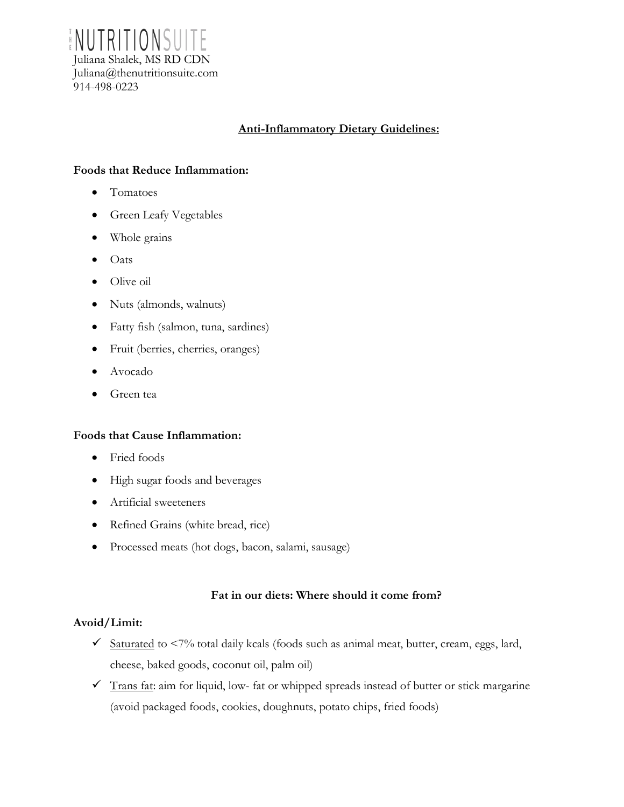ENUTRITIONSU Juliana Shalek, MS RD CDN Juliana@thenutritionsuite.com 914-498-0223

# **Anti-Inflammatory Dietary Guidelines:**

### **Foods that Reduce Inflammation:**

- Tomatoes
- Green Leafy Vegetables
- Whole grains
- Oats
- Olive oil
- Nuts (almonds, walnuts)
- Fatty fish (salmon, tuna, sardines)
- Fruit (berries, cherries, oranges)
- Avocado
- Green tea

### **Foods that Cause Inflammation:**

- Fried foods
- High sugar foods and beverages
- Artificial sweeteners
- Refined Grains (white bread, rice)
- Processed meats (hot dogs, bacon, salami, sausage)

### **Fat in our diets: Where should it come from?**

### **Avoid/Limit:**

- $\checkmark$  Saturated to <7% total daily kcals (foods such as animal meat, butter, cream, eggs, lard, cheese, baked goods, coconut oil, palm oil)
- $\checkmark$  Trans fat: aim for liquid, low- fat or whipped spreads instead of butter or stick margarine (avoid packaged foods, cookies, doughnuts, potato chips, fried foods)